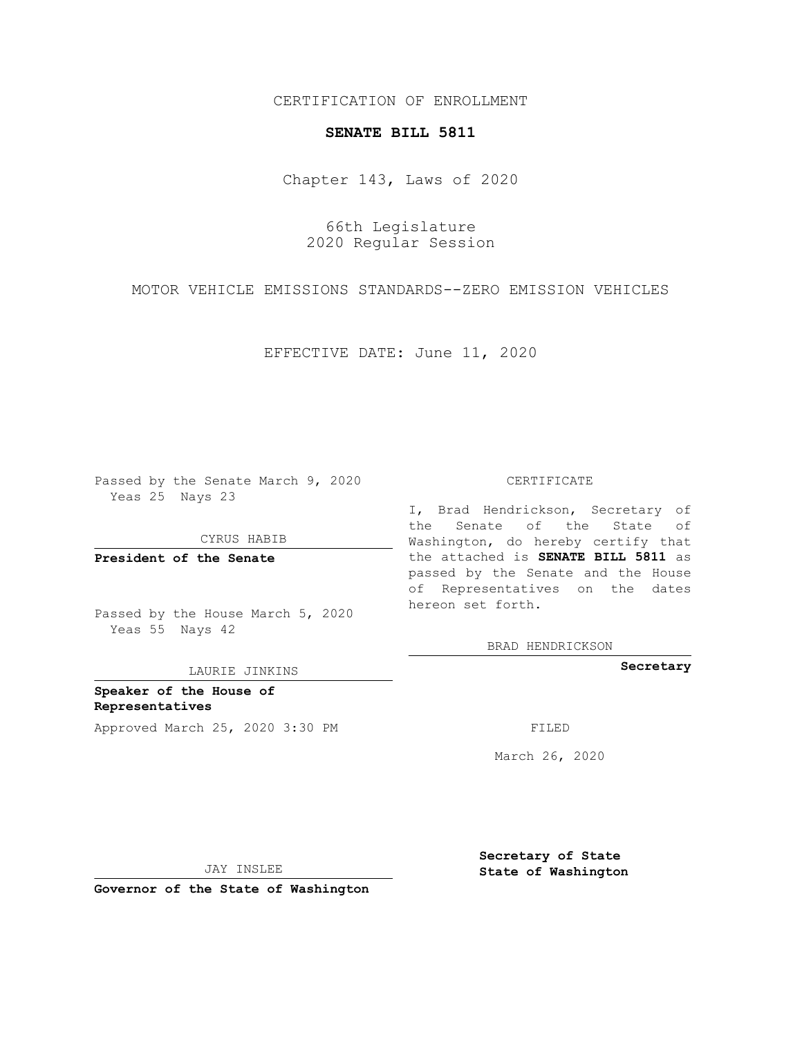## CERTIFICATION OF ENROLLMENT

### **SENATE BILL 5811**

Chapter 143, Laws of 2020

66th Legislature 2020 Regular Session

MOTOR VEHICLE EMISSIONS STANDARDS--ZERO EMISSION VEHICLES

EFFECTIVE DATE: June 11, 2020

Passed by the Senate March 9, 2020 Yeas 25 Nays 23

CYRUS HABIB

**President of the Senate**

Passed by the House March 5, 2020 Yeas 55 Nays 42

LAURIE JINKINS

**Speaker of the House of Representatives** Approved March 25, 2020 3:30 PM

#### CERTIFICATE

I, Brad Hendrickson, Secretary of the Senate of the State of Washington, do hereby certify that the attached is **SENATE BILL 5811** as passed by the Senate and the House of Representatives on the dates hereon set forth.

BRAD HENDRICKSON

**Secretary**

March 26, 2020

JAY INSLEE

**Governor of the State of Washington**

**Secretary of State State of Washington**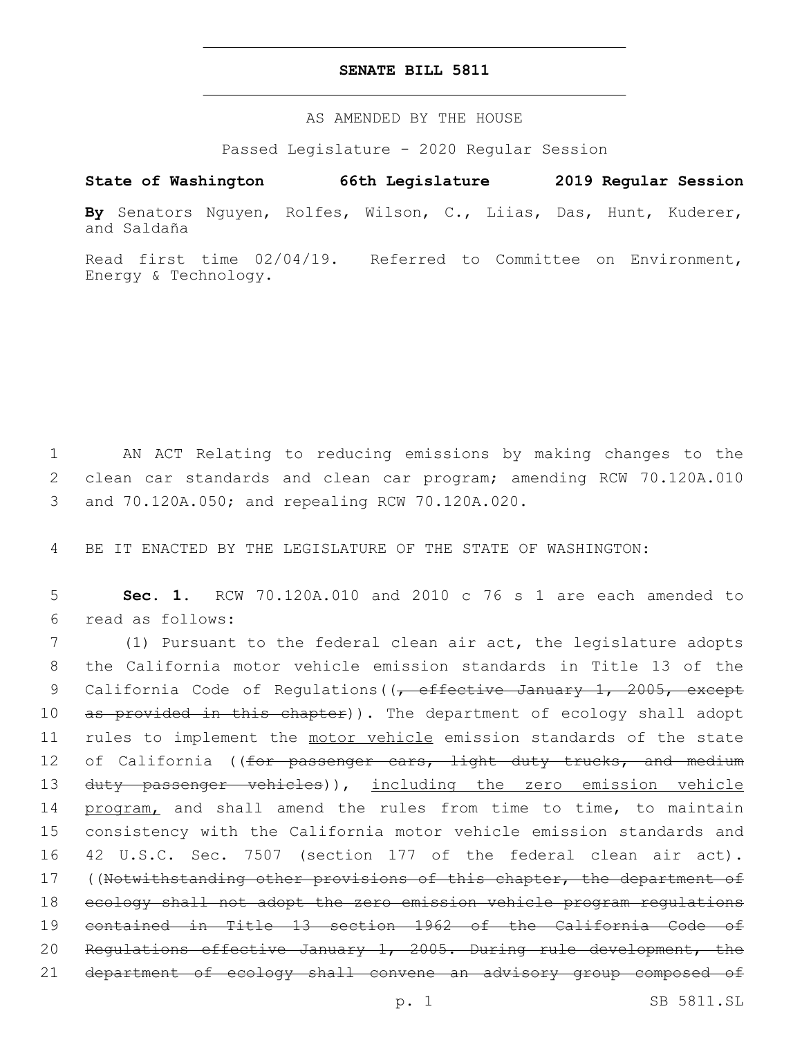## **SENATE BILL 5811**

AS AMENDED BY THE HOUSE

Passed Legislature - 2020 Regular Session

# **State of Washington 66th Legislature 2019 Regular Session**

**By** Senators Nguyen, Rolfes, Wilson, C., Liias, Das, Hunt, Kuderer, and Saldaña

Read first time 02/04/19. Referred to Committee on Environment, Energy & Technology.

1 AN ACT Relating to reducing emissions by making changes to the 2 clean car standards and clean car program; amending RCW 70.120A.010 and 70.120A.050; and repealing RCW 70.120A.020.3

4 BE IT ENACTED BY THE LEGISLATURE OF THE STATE OF WASHINGTON:

5 **Sec. 1.** RCW 70.120A.010 and 2010 c 76 s 1 are each amended to read as follows:6

7 (1) Pursuant to the federal clean air act, the legislature adopts 8 the California motor vehicle emission standards in Title 13 of the 9 California Code of Regulations((, effective January 1, 2005, except 10 as provided in this chapter)). The department of ecology shall adopt 11 rules to implement the motor vehicle emission standards of the state 12 of California ((for passenger cars, light duty trucks, and medium 13 duty passenger vehicles)), including the zero emission vehicle 14 program, and shall amend the rules from time to time, to maintain 15 consistency with the California motor vehicle emission standards and 16 42 U.S.C. Sec. 7507 (section 177 of the federal clean air act). 17 ((Notwithstanding other provisions of this chapter, the department of 18 ecology shall not adopt the zero emission vehicle program regulations 19 contained in Title 13 section 1962 of the California Code of 20 Regulations effective January 1, 2005. During rule development, the 21 department of ecology shall convene an advisory group composed of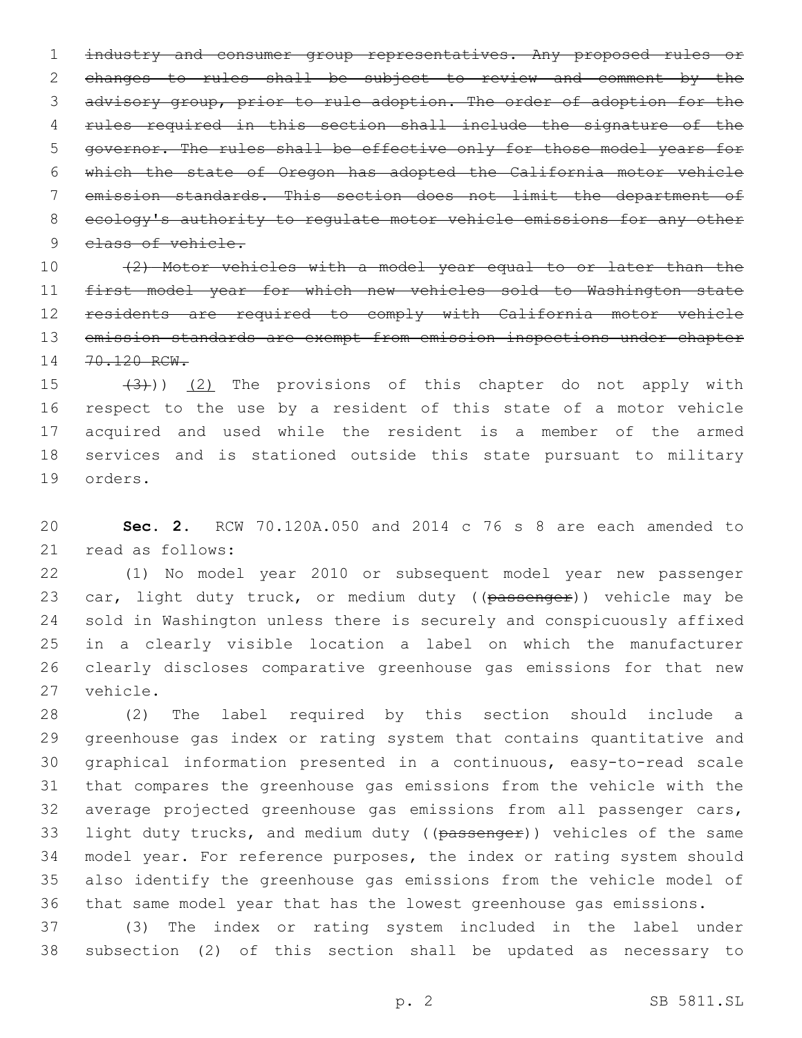1 industry and consumer group representatives. Any proposed rules or changes to rules shall be subject to review and comment by the advisory group, prior to rule adoption. The order of adoption for the rules required in this section shall include the signature of the governor. The rules shall be effective only for those model years for which the state of Oregon has adopted the California motor vehicle emission standards. This section does not limit the department of ecology's authority to regulate motor vehicle emissions for any other 9 class of vehicle.

 (2) Motor vehicles with a model year equal to or later than the first model year for which new vehicles sold to Washington state residents are required to comply with California motor vehicle 13 emission standards are exempt from emission inspections under chapter 14 70.120 RCW.

 $(3)$ )  $(2)$  The provisions of this chapter do not apply with respect to the use by a resident of this state of a motor vehicle acquired and used while the resident is a member of the armed services and is stationed outside this state pursuant to military 19 orders.

 **Sec. 2.** RCW 70.120A.050 and 2014 c 76 s 8 are each amended to 21 read as follows:

 (1) No model year 2010 or subsequent model year new passenger 23 car, light duty truck, or medium duty ((passenger)) vehicle may be sold in Washington unless there is securely and conspicuously affixed in a clearly visible location a label on which the manufacturer clearly discloses comparative greenhouse gas emissions for that new 27 vehicle.

 (2) The label required by this section should include a greenhouse gas index or rating system that contains quantitative and graphical information presented in a continuous, easy-to-read scale that compares the greenhouse gas emissions from the vehicle with the average projected greenhouse gas emissions from all passenger cars, 33 light duty trucks, and medium duty ((passenger)) vehicles of the same model year. For reference purposes, the index or rating system should also identify the greenhouse gas emissions from the vehicle model of that same model year that has the lowest greenhouse gas emissions.

 (3) The index or rating system included in the label under subsection (2) of this section shall be updated as necessary to